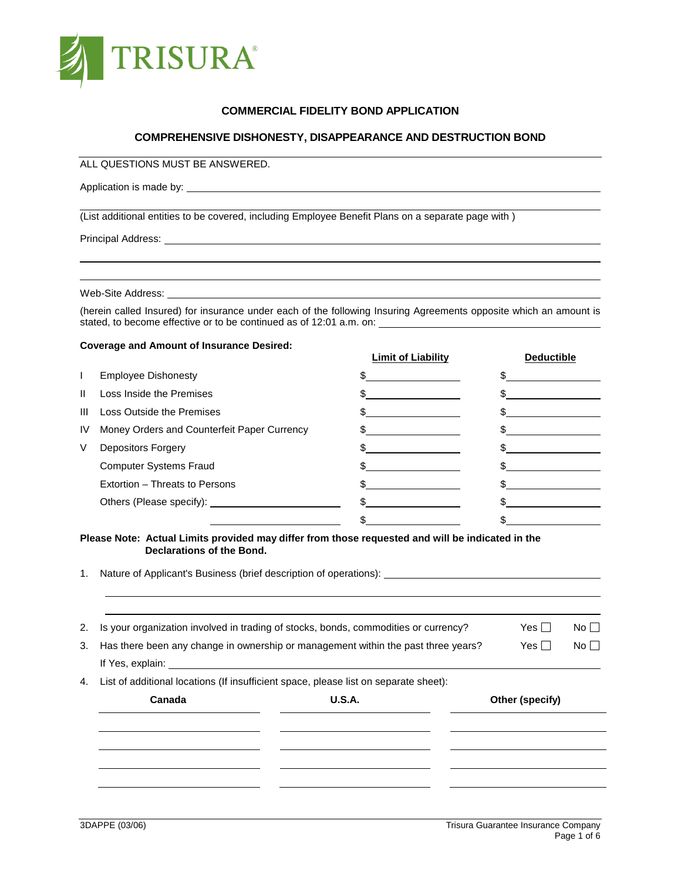

## **COMMERCIAL FIDELITY BOND APPLICATION**

## **COMPREHENSIVE DISHONESTY, DISAPPEARANCE AND DESTRUCTION BOND**

ALL QUESTIONS MUST BE ANSWERED.

Application is made by: <u>example and the set of the set of the set of the set of the set of the set of the set of the set of the set of the set of the set of the set of the set of the set of the set of the set of the set o</u>

(List additional entities to be covered, including Employee Benefit Plans on a separate page with )

Principal Address: <u>contract and a set of the set of the set of the set of the set of the set of the set of the set of the set of the set of the set of the set of the set of the set of the set of the set of the set of the </u>

Web-Site Address: \_

(herein called Insured) for insurance under each of the following Insuring Agreements opposite which an amount is stated, to become effective or to be continued as of 12:01 a.m. on:

#### **Coverage and Amount of Insurance Desired:**

|              |                                             | <u>Limit of Liability</u> | <b>Deductible</b> |
|--------------|---------------------------------------------|---------------------------|-------------------|
| L            | <b>Employee Dishonesty</b>                  |                           |                   |
| $\mathbf{H}$ | Loss Inside the Premises                    |                           |                   |
| Ш            | Loss Outside the Premises                   |                           |                   |
| IV           | Money Orders and Counterfeit Paper Currency |                           |                   |
| V            | <b>Depositors Forgery</b>                   |                           |                   |
|              | <b>Computer Systems Fraud</b>               |                           |                   |
|              | Extortion – Threats to Persons              |                           |                   |
|              | Others (Please specify): ____________       |                           |                   |
|              |                                             |                           |                   |

#### **Please Note: Actual Limits provided may differ from those requested and will be indicated in the Declarations of the Bond.**

1. Nature of Applicant's Business (brief description of operations):

| 4. | List of additional locations (If insufficient space, please list on separate sheet): |                                                                                     |            |              |
|----|--------------------------------------------------------------------------------------|-------------------------------------------------------------------------------------|------------|--------------|
|    |                                                                                      |                                                                                     |            |              |
|    | If Yes, explain: <u>contained</u>                                                    |                                                                                     |            |              |
| 3. |                                                                                      | Has there been any change in ownership or management within the past three years?   | Yes $\Box$ | No $\square$ |
| 2. |                                                                                      | Is your organization involved in trading of stocks, bonds, commodities or currency? | Yes $\Box$ | No $\square$ |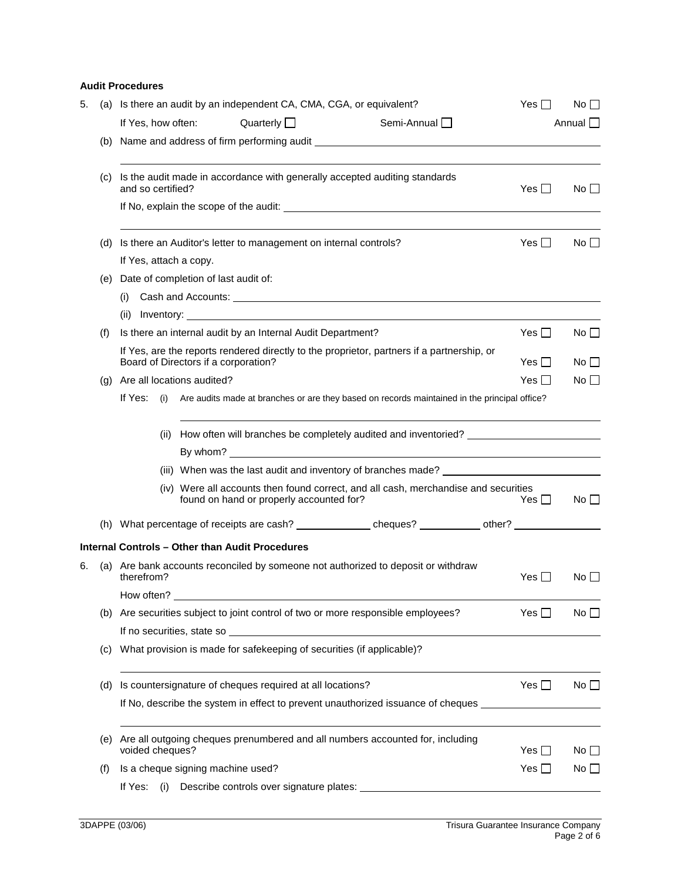## **Audit Procedures**

| 5. | (a)                        |                                                           |      |                                      | Is there an audit by an independent CA, CMA, CGA, or equivalent?                                                                                                                                                               |  |                                                                                              |  | Yes II        | $No$ $\Box$  |
|----|----------------------------|-----------------------------------------------------------|------|--------------------------------------|--------------------------------------------------------------------------------------------------------------------------------------------------------------------------------------------------------------------------------|--|----------------------------------------------------------------------------------------------|--|---------------|--------------|
|    |                            | If Yes, how often:                                        |      |                                      | Quarterly $\Box$                                                                                                                                                                                                               |  | Semi-Annual                                                                                  |  |               | Annual       |
|    |                            |                                                           |      |                                      |                                                                                                                                                                                                                                |  | (b) Name and address of firm performing audit ___________________________________            |  |               |              |
|    | (c)                        | and so certified?                                         |      |                                      |                                                                                                                                                                                                                                |  | Is the audit made in accordance with generally accepted auditing standards                   |  | Yes $\Box$    | No           |
|    |                            |                                                           |      |                                      | If No, explain the scope of the audit: __________                                                                                                                                                                              |  |                                                                                              |  |               |              |
|    | (d)                        |                                                           |      |                                      | Is there an Auditor's letter to management on internal controls?                                                                                                                                                               |  |                                                                                              |  | Yes $\Box$    | $No \Box$    |
|    |                            |                                                           |      | If Yes, attach a copy.               |                                                                                                                                                                                                                                |  |                                                                                              |  |               |              |
|    | (e)                        |                                                           |      | Date of completion of last audit of: |                                                                                                                                                                                                                                |  |                                                                                              |  |               |              |
|    |                            | (i)                                                       |      |                                      |                                                                                                                                                                                                                                |  |                                                                                              |  |               |              |
|    |                            | (ii)                                                      |      |                                      |                                                                                                                                                                                                                                |  |                                                                                              |  |               |              |
|    | (f)                        |                                                           |      |                                      | Is there an internal audit by an Internal Audit Department?                                                                                                                                                                    |  |                                                                                              |  | Yes $\Box$    | $No \Box$    |
|    |                            |                                                           |      | Board of Directors if a corporation? |                                                                                                                                                                                                                                |  | If Yes, are the reports rendered directly to the proprietor, partners if a partnership, or   |  | Yes $\Box$    | No II        |
|    | (q)                        |                                                           |      | Are all locations audited?           |                                                                                                                                                                                                                                |  |                                                                                              |  | Yes $\Box$    | $No$ $\Box$  |
|    |                            | If Yes:                                                   | (i)  |                                      |                                                                                                                                                                                                                                |  | Are audits made at branches or are they based on records maintained in the principal office? |  |               |              |
|    |                            |                                                           | (ii) |                                      |                                                                                                                                                                                                                                |  | How often will branches be completely audited and inventoried?                               |  |               |              |
|    |                            |                                                           |      |                                      |                                                                                                                                                                                                                                |  |                                                                                              |  |               |              |
|    |                            |                                                           |      |                                      |                                                                                                                                                                                                                                |  | (iii) When was the last audit and inventory of branches made? __________________             |  |               |              |
|    |                            |                                                           |      |                                      | found on hand or properly accounted for?                                                                                                                                                                                       |  | (iv) Were all accounts then found correct, and all cash, merchandise and securities          |  | Yes $\Box$    | $No \Box$    |
|    |                            |                                                           |      |                                      |                                                                                                                                                                                                                                |  |                                                                                              |  |               |              |
|    |                            |                                                           |      |                                      | Internal Controls - Other than Audit Procedures                                                                                                                                                                                |  |                                                                                              |  |               |              |
| 6. |                            | therefrom?                                                |      |                                      |                                                                                                                                                                                                                                |  | (a) Are bank accounts reconciled by someone not authorized to deposit or withdraw            |  | Yes II        | No II        |
|    |                            | How often?                                                |      |                                      |                                                                                                                                                                                                                                |  |                                                                                              |  |               |              |
|    | (b)                        |                                                           |      |                                      |                                                                                                                                                                                                                                |  | Are securities subject to joint control of two or more responsible employees?                |  | Yes $\square$ | $No$ $\Box$  |
|    |                            |                                                           |      |                                      | If no securities, state so and the securities of the securities of the securities of the securities of the securities of the securities of the securities of the securities of the securities of the securities of the securit |  |                                                                                              |  |               |              |
|    | $\left( \mathrm{c}\right)$ |                                                           |      |                                      | What provision is made for safekeeping of securities (if applicable)?                                                                                                                                                          |  |                                                                                              |  |               |              |
|    | (d)                        | Is countersignature of cheques required at all locations? |      |                                      |                                                                                                                                                                                                                                |  |                                                                                              |  | $Yes \Box$    | No $\square$ |
|    |                            |                                                           |      |                                      |                                                                                                                                                                                                                                |  | If No, describe the system in effect to prevent unauthorized issuance of cheques             |  |               |              |
|    | (e)                        | voided cheques?                                           |      |                                      |                                                                                                                                                                                                                                |  | Are all outgoing cheques prenumbered and all numbers accounted for, including                |  | Yes $\Box$    | No $\Box$    |
|    | (f)                        |                                                           |      | Is a cheque signing machine used?    |                                                                                                                                                                                                                                |  |                                                                                              |  | Yes $\Box$    | No $\square$ |
|    |                            | If Yes:                                                   | (i)  |                                      |                                                                                                                                                                                                                                |  |                                                                                              |  |               |              |
|    |                            |                                                           |      |                                      |                                                                                                                                                                                                                                |  |                                                                                              |  |               |              |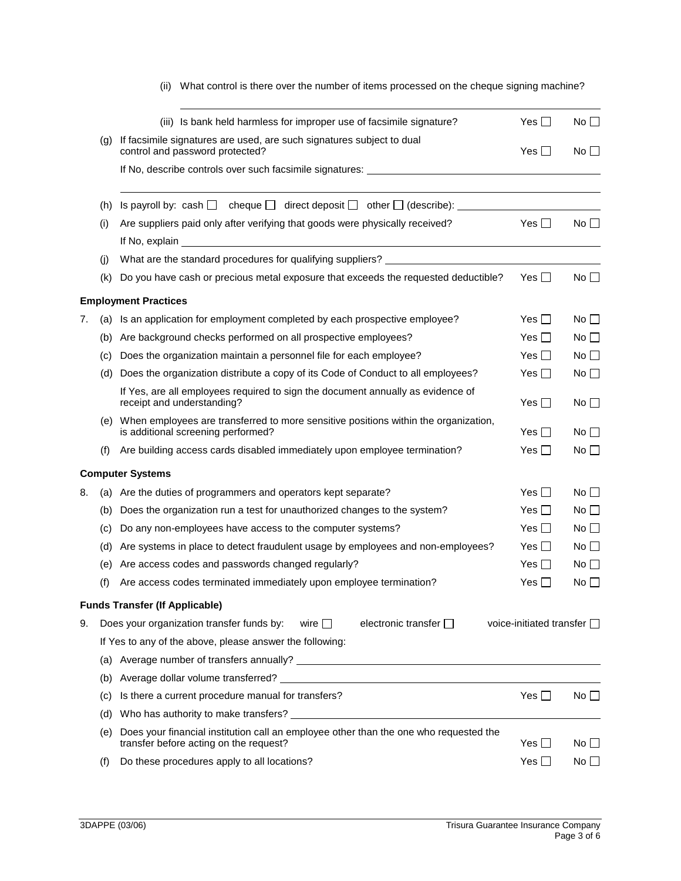|    |                   | (iii) Is bank held harmless for improper use of facsimile signature?                                                          | Yes $\Box$                         | No $\square$    |
|----|-------------------|-------------------------------------------------------------------------------------------------------------------------------|------------------------------------|-----------------|
|    | $\left( q\right)$ | If facsimile signatures are used, are such signatures subject to dual<br>control and password protected?                      | Yes II                             | No <sub>1</sub> |
|    |                   |                                                                                                                               |                                    |                 |
|    | (h)               | Is payroll by: cash $\Box$ cheque $\Box$ direct deposit $\Box$ other $\Box$ (describe):                                       |                                    |                 |
|    | (i)               | Are suppliers paid only after verifying that goods were physically received?                                                  | Yes II                             | $No$ $\Box$     |
|    |                   | If No, explain                                                                                                                |                                    |                 |
|    | (i)               |                                                                                                                               |                                    |                 |
|    | (k)               | Do you have cash or precious metal exposure that exceeds the requested deductible?                                            | Yes $\Box$                         | No $\square$    |
|    |                   | <b>Employment Practices</b>                                                                                                   |                                    |                 |
| 7. |                   | (a) Is an application for employment completed by each prospective employee?                                                  | Yes $\Box$                         | $No \Box$       |
|    | (b)               | Are background checks performed on all prospective employees?                                                                 | Yes I I                            | No II           |
|    | (c)               | Does the organization maintain a personnel file for each employee?                                                            | Yes $\Box$                         | $No$ $\Box$     |
|    | (d)               | Does the organization distribute a copy of its Code of Conduct to all employees?                                              | Yes $\Box$                         | No ∐            |
|    |                   | If Yes, are all employees required to sign the document annually as evidence of<br>receipt and understanding?                 | Yes $\Box$                         | No II           |
|    |                   | (e) When employees are transferred to more sensitive positions within the organization,<br>is additional screening performed? | Yes $\Box$                         | No II           |
|    | (f)               | Are building access cards disabled immediately upon employee termination?                                                     | Yes $\square$                      | No $\Box$       |
|    |                   | <b>Computer Systems</b>                                                                                                       |                                    |                 |
| 8. |                   | (a) Are the duties of programmers and operators kept separate?                                                                | Yes $\Box$                         | No $\Box$       |
|    | (b)               | Does the organization run a test for unauthorized changes to the system?                                                      | Yes $\Box$                         | No ∐            |
|    | (c)               | Do any non-employees have access to the computer systems?                                                                     | Yes II                             | No              |
|    | (d)               | Are systems in place to detect fraudulent usage by employees and non-employees?                                               | Yes II                             | No II           |
|    | (e)               | Are access codes and passwords changed regularly?                                                                             | Yes $\Box$                         | No II           |
|    | (f)               | Are access codes terminated immediately upon employee termination?                                                            | $Yes$ $\Box$                       | No $\Box$       |
|    |                   | <b>Funds Transfer (If Applicable)</b>                                                                                         |                                    |                 |
| 9. |                   | Does your organization transfer funds by:<br>electronic transfer $\square$<br>wire $\Box$                                     | voice-initiated transfer $\square$ |                 |
|    |                   | If Yes to any of the above, please answer the following:                                                                      |                                    |                 |
|    |                   |                                                                                                                               |                                    |                 |
|    |                   | (b) Average dollar volume transferred?                                                                                        |                                    |                 |

# (ii) What control is there over the number of items processed on the cheque signing machine?

(b) Average dollar volume transferred? (c) Is there a current procedure manual for transfers?  $Y \in \Box$  No  $\Box$ (d) Who has authority to make transfers? (e) Does your financial institution call an employee other than the one who requested the transfer before acting on the request?  $Yes \Box$  No  $\Box$ (f) Do these procedures apply to all locations?  $Yes \Box$  No  $\Box$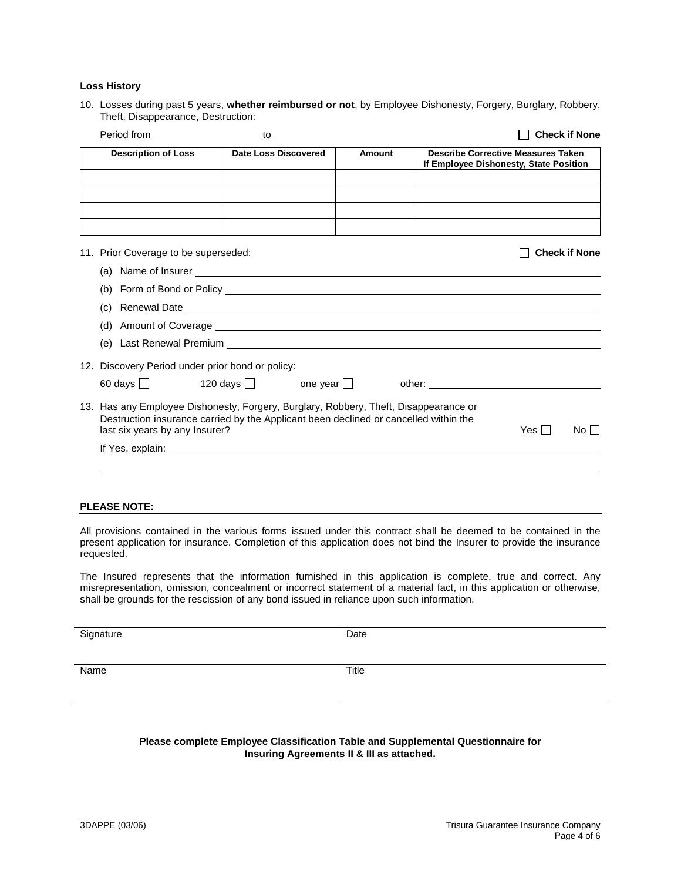### **Loss History**

10. Losses during past 5 years, **whether reimbursed or not**, by Employee Dishonesty, Forgery, Burglary, Robbery, Theft, Disappearance, Destruction:

|                                                  |                                                                                                                                                                                                                                      |                    |                                                                                                                |            | <b>Check if None</b> |
|--------------------------------------------------|--------------------------------------------------------------------------------------------------------------------------------------------------------------------------------------------------------------------------------------|--------------------|----------------------------------------------------------------------------------------------------------------|------------|----------------------|
| <b>Description of Loss</b>                       | <b>Date Loss Discovered</b>                                                                                                                                                                                                          | <b>Amount</b>      | <b>Describe Corrective Measures Taken</b><br>If Employee Dishonesty, State Position                            |            |                      |
|                                                  |                                                                                                                                                                                                                                      |                    |                                                                                                                |            |                      |
| 11. Prior Coverage to be superseded:             |                                                                                                                                                                                                                                      |                    |                                                                                                                |            | <b>Check if None</b> |
|                                                  |                                                                                                                                                                                                                                      |                    |                                                                                                                |            |                      |
|                                                  |                                                                                                                                                                                                                                      |                    |                                                                                                                |            |                      |
| (c)                                              | Renewal Date <b>contract and the contract of the contract of the contract of the contract of the contract of the contract of the contract of the contract of the contract of the contract of the contract of the contract of the</b> |                    |                                                                                                                |            |                      |
|                                                  |                                                                                                                                                                                                                                      |                    |                                                                                                                |            |                      |
|                                                  |                                                                                                                                                                                                                                      |                    |                                                                                                                |            |                      |
| 12. Discovery Period under prior bond or policy: |                                                                                                                                                                                                                                      |                    |                                                                                                                |            |                      |
| $60 \text{ days}$                                | 120 days <b>□</b>                                                                                                                                                                                                                    | one year $\square$ | other: and the contract of the contract of the contract of the contract of the contract of the contract of the |            |                      |
| last six years by any Insurer?                   | 13. Has any Employee Dishonesty, Forgery, Burglary, Robbery, Theft, Disappearance or<br>Destruction insurance carried by the Applicant been declined or cancelled within the                                                         |                    |                                                                                                                | Yes $\Box$ | No $\Box$            |
|                                                  |                                                                                                                                                                                                                                      |                    |                                                                                                                |            |                      |

#### **PLEASE NOTE:**

All provisions contained in the various forms issued under this contract shall be deemed to be contained in the present application for insurance. Completion of this application does not bind the Insurer to provide the insurance requested.

The Insured represents that the information furnished in this application is complete, true and correct. Any misrepresentation, omission, concealment or incorrect statement of a material fact, in this application or otherwise, shall be grounds for the rescission of any bond issued in reliance upon such information.

| Signature | Date  |
|-----------|-------|
| Name      | Title |

### **Please complete Employee Classification Table and Supplemental Questionnaire for Insuring Agreements II & III as attached.**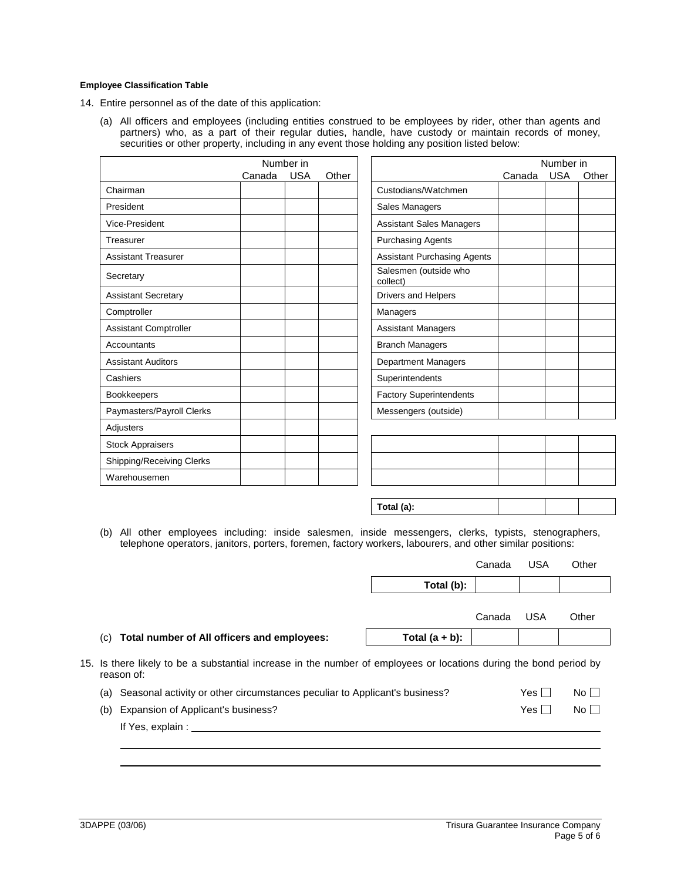#### **Employee Classification Table**

14. Entire personnel as of the date of this application:

(a) All officers and employees (including entities construed to be employees by rider, other than agents and partners) who, as a part of their regular duties, handle, have custody or maintain records of money, securities or other property, including in any event those holding any position listed below:

|                              |        | Number in  |       |                                    |        | Number in  |       |
|------------------------------|--------|------------|-------|------------------------------------|--------|------------|-------|
|                              | Canada | <b>USA</b> | Other |                                    | Canada | <b>USA</b> | Other |
| Chairman                     |        |            |       | Custodians/Watchmen                |        |            |       |
| President                    |        |            |       | Sales Managers                     |        |            |       |
| Vice-President               |        |            |       | <b>Assistant Sales Managers</b>    |        |            |       |
| Treasurer                    |        |            |       | <b>Purchasing Agents</b>           |        |            |       |
| <b>Assistant Treasurer</b>   |        |            |       | <b>Assistant Purchasing Agents</b> |        |            |       |
| Secretary                    |        |            |       | Salesmen (outside who<br>collect)  |        |            |       |
| <b>Assistant Secretary</b>   |        |            |       | Drivers and Helpers                |        |            |       |
| Comptroller                  |        |            |       | Managers                           |        |            |       |
| <b>Assistant Comptroller</b> |        |            |       | <b>Assistant Managers</b>          |        |            |       |
| Accountants                  |        |            |       | <b>Branch Managers</b>             |        |            |       |
| <b>Assistant Auditors</b>    |        |            |       | <b>Department Managers</b>         |        |            |       |
| Cashiers                     |        |            |       | Superintendents                    |        |            |       |
| <b>Bookkeepers</b>           |        |            |       | <b>Factory Superintendents</b>     |        |            |       |
| Paymasters/Payroll Clerks    |        |            |       | Messengers (outside)               |        |            |       |
| Adjusters                    |        |            |       |                                    |        |            |       |
| <b>Stock Appraisers</b>      |        |            |       |                                    |        |            |       |
| Shipping/Receiving Clerks    |        |            |       |                                    |        |            |       |
| Warehousemen                 |        |            |       |                                    |        |            |       |

| Total (a): |  |  |
|------------|--|--|
|            |  |  |

(b) All other employees including: inside salesmen, inside messengers, clerks, typists, stenographers, telephone operators, janitors, porters, foremen, factory workers, labourers, and other similar positions:

|      |                                                                                                                                  | Total (b):        |        |            |              |
|------|----------------------------------------------------------------------------------------------------------------------------------|-------------------|--------|------------|--------------|
|      |                                                                                                                                  |                   | Canada | USA        | Other        |
| (C). | Total number of All officers and employees:                                                                                      | Total $(a + b)$ : |        |            |              |
|      | 15. Is there likely to be a substantial increase in the number of employees or locations during the bond period by<br>reason of: |                   |        |            |              |
|      | (a) Seasonal activity or other circumstances peculiar to Applicant's business?                                                   |                   |        | Yes $\Box$ | No $\square$ |
| (b)  | Expansion of Applicant's business?                                                                                               |                   |        | Yes $\Box$ | No $\square$ |
|      | If Yes, explain :                                                                                                                |                   |        |            |              |
|      |                                                                                                                                  |                   |        |            |              |

Canada USA Other